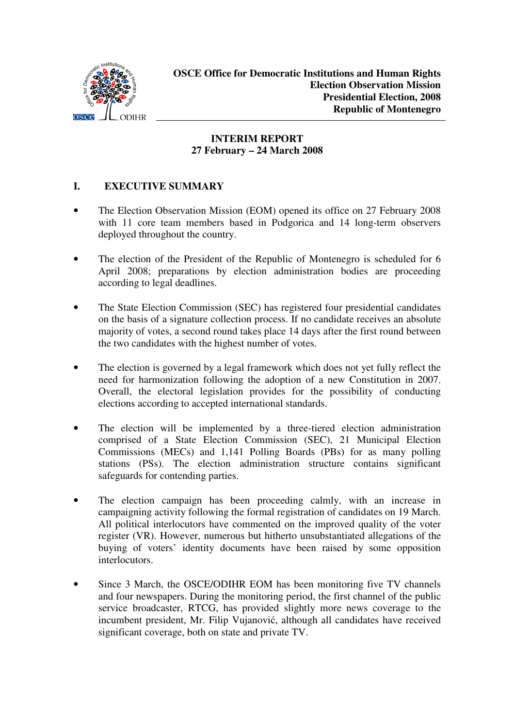

# **INTERIM REPORT 27 February – 24 March 2008**

### **I. EXECUTIVE SUMMARY**

- The Election Observation Mission (EOM) opened its office on 27 February 2008 with 11 core team members based in Podgorica and 14 long-term observers deployed throughout the country.
- The election of the President of the Republic of Montenegro is scheduled for 6 April 2008; preparations by election administration bodies are proceeding according to legal deadlines.
- The State Election Commission (SEC) has registered four presidential candidates on the basis of a signature collection process. If no candidate receives an absolute majority of votes, a second round takes place 14 days after the first round between the two candidates with the highest number of votes.
- The election is governed by a legal framework which does not yet fully reflect the need for harmonization following the adoption of a new Constitution in 2007. Overall, the electoral legislation provides for the possibility of conducting elections according to accepted international standards.
- The election will be implemented by a three-tiered election administration comprised of a State Election Commission (SEC), 21 Municipal Election Commissions (MECs) and 1,141 Polling Boards (PBs) for as many polling stations (PSs). The election administration structure contains significant safeguards for contending parties.
- The election campaign has been proceeding calmly, with an increase in campaigning activity following the formal registration of candidates on 19 March. All political interlocutors have commented on the improved quality of the voter register (VR). However, numerous but hitherto unsubstantiated allegations of the buying of voters' identity documents have been raised by some opposition interlocutors.
- Since 3 March, the OSCE/ODIHR EOM has been monitoring five TV channels and four newspapers. During the monitoring period, the first channel of the public service broadcaster, RTCG, has provided slightly more news coverage to the incumbent president, Mr. Filip Vujanović, although all candidates have received significant coverage, both on state and private TV.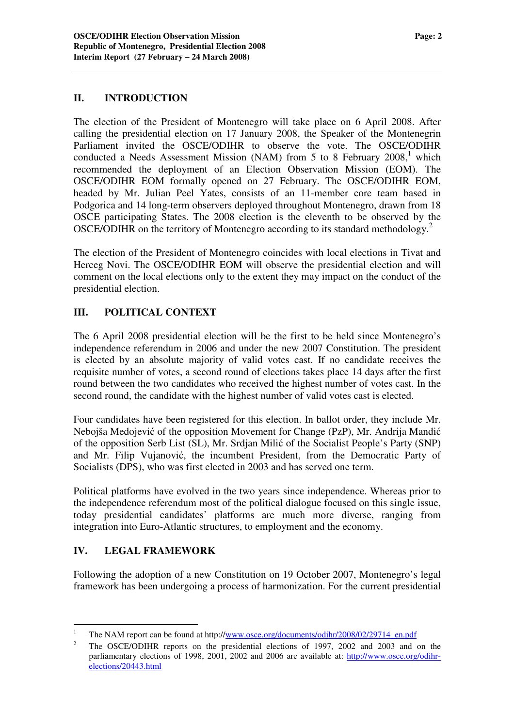#### **II. INTRODUCTION**

The election of the President of Montenegro will take place on 6 April 2008. After calling the presidential election on 17 January 2008, the Speaker of the Montenegrin Parliament invited the OSCE/ODIHR to observe the vote. The OSCE/ODIHR conducted a Needs Assessment Mission (NAM) from 5 to 8 February  $2008$ ,<sup>1</sup> which recommended the deployment of an Election Observation Mission (EOM). The OSCE/ODIHR EOM formally opened on 27 February. The OSCE/ODIHR EOM, headed by Mr. Julian Peel Yates, consists of an 11-member core team based in Podgorica and 14 long-term observers deployed throughout Montenegro, drawn from 18 OSCE participating States. The 2008 election is the eleventh to be observed by the OSCE/ODIHR on the territory of Montenegro according to its standard methodology.<sup>2</sup>

The election of the President of Montenegro coincides with local elections in Tivat and Herceg Novi. The OSCE/ODIHR EOM will observe the presidential election and will comment on the local elections only to the extent they may impact on the conduct of the presidential election.

# **III. POLITICAL CONTEXT**

The 6 April 2008 presidential election will be the first to be held since Montenegro's independence referendum in 2006 and under the new 2007 Constitution. The president is elected by an absolute majority of valid votes cast. If no candidate receives the requisite number of votes, a second round of elections takes place 14 days after the first round between the two candidates who received the highest number of votes cast. In the second round, the candidate with the highest number of valid votes cast is elected.

Four candidates have been registered for this election. In ballot order, they include Mr. Nebojša Medojević of the opposition Movement for Change (PzP), Mr. Andrija Mandić of the opposition Serb List (SL), Mr. Srdjan Milić of the Socialist People's Party (SNP) and Mr. Filip Vujanović, the incumbent President, from the Democratic Party of Socialists (DPS), who was first elected in 2003 and has served one term.

Political platforms have evolved in the two years since independence. Whereas prior to the independence referendum most of the political dialogue focused on this single issue, today presidential candidates' platforms are much more diverse, ranging from integration into Euro-Atlantic structures, to employment and the economy.

### **IV. LEGAL FRAMEWORK**

Following the adoption of a new Constitution on 19 October 2007, Montenegro's legal framework has been undergoing a process of harmonization. For the current presidential

<sup>&</sup>lt;sup>1</sup> The NAM report can be found at http://www.osce.org/documents/odihr/2008/02/29714\_en.pdf

<sup>&</sup>lt;sup>2</sup> The OSCE/ODIHR reports on the presidential elections of 1997, 2002 and 2003 and on the parliamentary elections of 1998, 2001, 2002 and 2006 are available at: http://www.osce.org/odihrelections/20443.html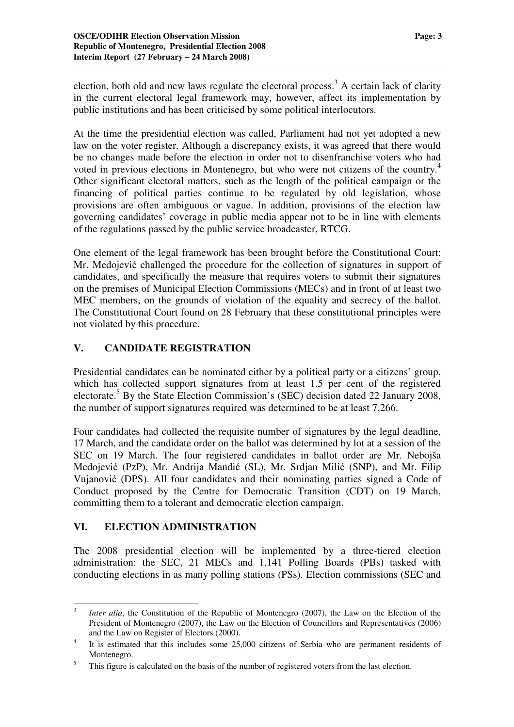election, both old and new laws regulate the electoral process.<sup>3</sup> A certain lack of clarity in the current electoral legal framework may, however, affect its implementation by public institutions and has been criticised by some political interlocutors.

At the time the presidential election was called, Parliament had not yet adopted a new law on the voter register. Although a discrepancy exists, it was agreed that there would be no changes made before the election in order not to disenfranchise voters who had voted in previous elections in Montenegro, but who were not citizens of the country. 4 Other significant electoral matters, such as the length of the political campaign or the financing of political parties continue to be regulated by old legislation, whose provisions are often ambiguous or vague. In addition, provisions of the election law governing candidates' coverage in public media appear not to be in line with elements of the regulations passed by the public service broadcaster, RTCG.

One element of the legal framework has been brought before the Constitutional Court: Mr. Medojević challenged the procedure for the collection of signatures in support of candidates, and specifically the measure that requires voters to submit their signatures on the premises of Municipal Election Commissions (MECs) and in front of at least two MEC members, on the grounds of violation of the equality and secrecy of the ballot. The Constitutional Court found on 28 February that these constitutional principles were not violated by this procedure.

### **V. CANDIDATE REGISTRATION**

Presidential candidates can be nominated either by a political party or a citizens' group, which has collected support signatures from at least 1.5 per cent of the registered electorate. <sup>5</sup> By the State Election Commission's (SEC) decision dated 22 January 2008, the number of support signatures required was determined to be at least 7,266.

Four candidates had collected the requisite number of signatures by the legal deadline, 17 March, and the candidate order on the ballot was determined by lot at a session of the SEC on 19 March. The four registered candidates in ballot order are Mr. Nebojša Medojević (PzP), Mr. Andrija Mandić (SL), Mr. Srdjan Milić (SNP), and Mr. Filip Vujanović (DPS). All four candidates and their nominating parties signed a Code of Conduct proposed by the Centre for Democratic Transition (CDT) on 19 March, committing them to a tolerant and democratic election campaign.

# **VI. ELECTION ADMINISTRATION**

The 2008 presidential election will be implemented by a three-tiered election administration: the SEC, 21 MECs and 1,141 Polling Boards (PBs) tasked with conducting elections in as many polling stations (PSs). Election commissions (SEC and

<sup>3</sup> *Inter alia*, the Constitution of the Republic of Montenegro (2007), the Law on the Election of the President of Montenegro (2007), the Law on the Election of Councillors and Representatives (2006) and the Law on Register of Electors (2000).

<sup>4</sup> It is estimated that this includes some 25,000 citizens of Serbia who are permanent residents of Montenegro.

<sup>&</sup>lt;sup>5</sup> This figure is calculated on the basis of the number of registered voters from the last election.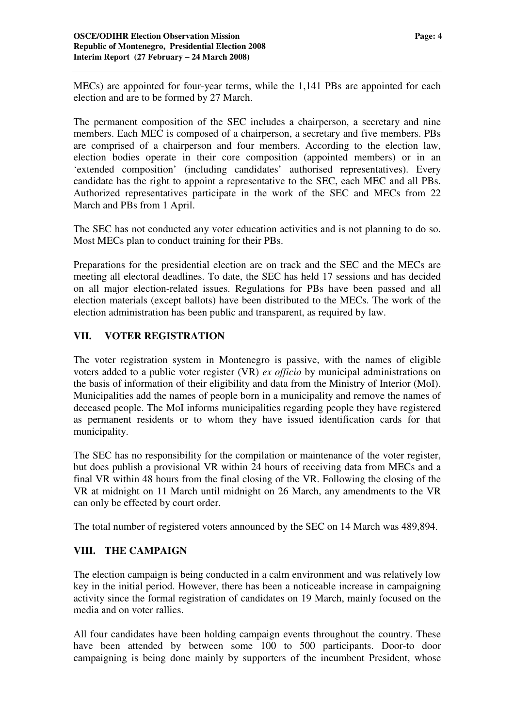MECs) are appointed for four-year terms, while the 1,141 PBs are appointed for each election and are to be formed by 27 March.

The permanent composition of the SEC includes a chairperson, a secretary and nine members. Each MEC is composed of a chairperson, a secretary and five members. PBs are comprised of a chairperson and four members. According to the election law, election bodies operate in their core composition (appointed members) or in an 'extended composition' (including candidates' authorised representatives). Every candidate has the right to appoint a representative to the SEC, each MEC and all PBs. Authorized representatives participate in the work of the SEC and MECs from 22 March and PBs from 1 April.

The SEC has not conducted any voter education activities and is not planning to do so. Most MECs plan to conduct training for their PBs.

Preparations for the presidential election are on track and the SEC and the MECs are meeting all electoral deadlines. To date, the SEC has held 17 sessions and has decided on all major election-related issues. Regulations for PBs have been passed and all election materials (except ballots) have been distributed to the MECs. The work of the election administration has been public and transparent, as required by law.

### **VII. VOTER REGISTRATION**

The voter registration system in Montenegro is passive, with the names of eligible voters added to a public voter register (VR) *ex officio* by municipal administrations on the basis of information of their eligibility and data from the Ministry of Interior (MoI). Municipalities add the names of people born in a municipality and remove the names of deceased people. The MoI informs municipalities regarding people they have registered as permanent residents or to whom they have issued identification cards for that municipality.

The SEC has no responsibility for the compilation or maintenance of the voter register, but does publish a provisional VR within 24 hours of receiving data from MECs and a final VR within 48 hours from the final closing of the VR. Following the closing of the VR at midnight on 11 March until midnight on 26 March, any amendments to the VR can only be effected by court order.

The total number of registered voters announced by the SEC on 14 March was 489,894.

### **VIII. THE CAMPAIGN**

The election campaign is being conducted in a calm environment and was relatively low key in the initial period. However, there has been a noticeable increase in campaigning activity since the formal registration of candidates on 19 March, mainly focused on the media and on voter rallies.

All four candidates have been holding campaign events throughout the country. These have been attended by between some 100 to 500 participants. Door-to door campaigning is being done mainly by supporters of the incumbent President, whose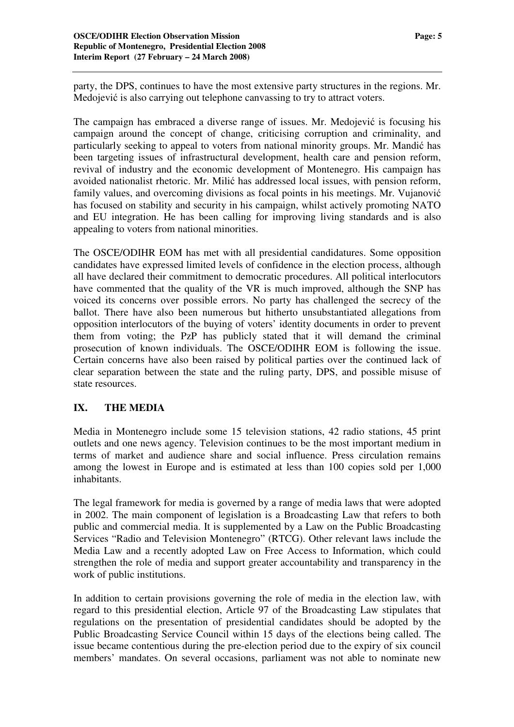party, the DPS, continues to have the most extensive party structures in the regions. Mr. Medojević is also carrying out telephone canvassing to try to attract voters.

The campaign has embraced a diverse range of issues. Mr. Medojević is focusing his campaign around the concept of change, criticising corruption and criminality, and particularly seeking to appeal to voters from national minority groups. Mr. Mandić has been targeting issues of infrastructural development, health care and pension reform, revival of industry and the economic development of Montenegro. His campaign has avoided nationalist rhetoric. Mr. Milić has addressed local issues, with pension reform, family values, and overcoming divisions as focal points in his meetings. Mr. Vujanovi has focused on stability and security in his campaign, whilst actively promoting NATO and EU integration. He has been calling for improving living standards and is also appealing to voters from national minorities.

The OSCE/ODIHR EOM has met with all presidential candidatures. Some opposition candidates have expressed limited levels of confidence in the election process, although all have declared their commitment to democratic procedures. All political interlocutors have commented that the quality of the VR is much improved, although the SNP has voiced its concerns over possible errors. No party has challenged the secrecy of the ballot. There have also been numerous but hitherto unsubstantiated allegations from opposition interlocutors of the buying of voters' identity documents in order to prevent them from voting; the PzP has publicly stated that it will demand the criminal prosecution of known individuals. The OSCE/ODIHR EOM is following the issue. Certain concerns have also been raised by political parties over the continued lack of clear separation between the state and the ruling party, DPS, and possible misuse of state resources.

### **IX. THE MEDIA**

Media in Montenegro include some 15 television stations, 42 radio stations, 45 print outlets and one news agency. Television continues to be the most important medium in terms of market and audience share and social influence. Press circulation remains among the lowest in Europe and is estimated at less than 100 copies sold per 1,000 inhabitants.

The legal framework for media is governed by a range of media laws that were adopted in 2002. The main component of legislation is a Broadcasting Law that refers to both public and commercial media. It is supplemented by a Law on the Public Broadcasting Services "Radio and Television Montenegro" (RTCG). Other relevant laws include the Media Law and a recently adopted Law on Free Access to Information, which could strengthen the role of media and support greater accountability and transparency in the work of public institutions.

In addition to certain provisions governing the role of media in the election law, with regard to this presidential election, Article 97 of the Broadcasting Law stipulates that regulations on the presentation of presidential candidates should be adopted by the Public Broadcasting Service Council within 15 days of the elections being called. The issue became contentious during the pre-election period due to the expiry of six council members' mandates. On several occasions, parliament was not able to nominate new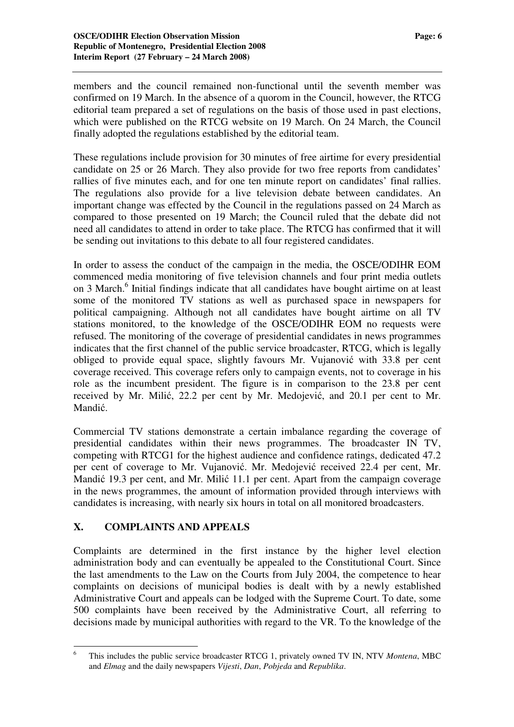members and the council remained non-functional until the seventh member was confirmed on 19 March. In the absence of a quorom in the Council, however, the RTCG editorial team prepared a set of regulations on the basis of those used in past elections, which were published on the RTCG website on 19 March. On 24 March, the Council finally adopted the regulations established by the editorial team.

These regulations include provision for 30 minutes of free airtime for every presidential candidate on 25 or 26 March. They also provide for two free reports from candidates' rallies of five minutes each, and for one ten minute report on candidates' final rallies. The regulations also provide for a live television debate between candidates. An important change was effected by the Council in the regulations passed on 24 March as compared to those presented on 19 March; the Council ruled that the debate did not need all candidates to attend in order to take place. The RTCG has confirmed that it will be sending out invitations to this debate to all four registered candidates.

In order to assess the conduct of the campaign in the media, the OSCE/ODIHR EOM commenced media monitoring of five television channels and four print media outlets on 3 March.<sup>6</sup> Initial findings indicate that all candidates have bought airtime on at least some of the monitored TV stations as well as purchased space in newspapers for political campaigning. Although not all candidates have bought airtime on all TV stations monitored, to the knowledge of the OSCE/ODIHR EOM no requests were refused. The monitoring of the coverage of presidential candidates in news programmes indicates that the first channel of the public service broadcaster, RTCG, which is legally obliged to provide equal space, slightly favours Mr. Vujanović with 33.8 per cent coverage received. This coverage refers only to campaign events, not to coverage in his role as the incumbent president. The figure is in comparison to the 23.8 per cent received by Mr. Milić, 22.2 per cent by Mr. Medojević, and 20.1 per cent to Mr. Mandić.

Commercial TV stations demonstrate a certain imbalance regarding the coverage of presidential candidates within their news programmes. The broadcaster IN TV, competing with RTCG1 for the highest audience and confidence ratings, dedicated 47.2 per cent of coverage to Mr. Vujanović. Mr. Medojević received 22.4 per cent, Mr. Mandić 19.3 per cent, and Mr. Milić 11.1 per cent. Apart from the campaign coverage in the news programmes, the amount of information provided through interviews with candidates is increasing, with nearly six hours in total on all monitored broadcasters.

### **X. COMPLAINTS AND APPEALS**

Complaints are determined in the first instance by the higher level election administration body and can eventually be appealed to the Constitutional Court. Since the last amendments to the Law on the Courts from July 2004, the competence to hear complaints on decisions of municipal bodies is dealt with by a newly established Administrative Court and appeals can be lodged with the Supreme Court. To date, some 500 complaints have been received by the Administrative Court, all referring to decisions made by municipal authorities with regard to the VR. To the knowledge of the

<sup>6</sup> This includes the public service broadcaster RTCG 1, privately owned TV IN, NTV *Montena*, MBC and *Elmag* and the daily newspapers *Vijesti*, *Dan*, *Pobjeda* and *Republika*.